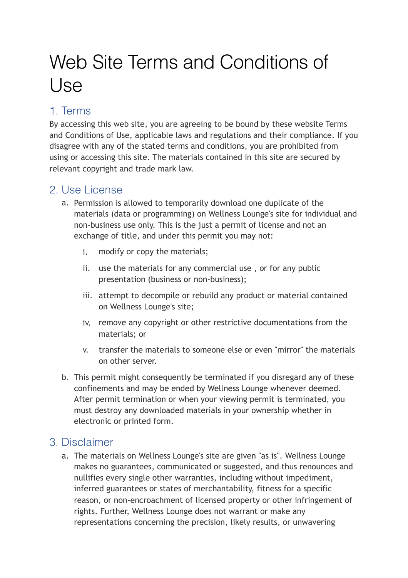# Web Site Terms and Conditions of Use

# 1. Terms

By accessing this web site, you are agreeing to be bound by these website Terms and Conditions of Use, applicable laws and regulations and their compliance. If you disagree with any of the stated terms and conditions, you are prohibited from using or accessing this site. The materials contained in this site are secured by relevant copyright and trade mark law.

#### 2. Use License

- a. Permission is allowed to temporarily download one duplicate of the materials (data or programming) on Wellness Lounge's site for individual and non-business use only. This is the just a permit of license and not an exchange of title, and under this permit you may not:
	- i. modify or copy the materials;
	- ii. use the materials for any commercial use , or for any public presentation (business or non-business);
	- iii. attempt to decompile or rebuild any product or material contained on Wellness Lounge's site;
	- iv. remove any copyright or other restrictive documentations from the materials; or
	- v. transfer the materials to someone else or even "mirror" the materials on other server.
- b. This permit might consequently be terminated if you disregard any of these confinements and may be ended by Wellness Lounge whenever deemed. After permit termination or when your viewing permit is terminated, you must destroy any downloaded materials in your ownership whether in electronic or printed form.

## 3. Disclaimer

a. The materials on Wellness Lounge's site are given "as is". Wellness Lounge makes no guarantees, communicated or suggested, and thus renounces and nullifies every single other warranties, including without impediment, inferred guarantees or states of merchantability, fitness for a specific reason, or non-encroachment of licensed property or other infringement of rights. Further, Wellness Lounge does not warrant or make any representations concerning the precision, likely results, or unwavering